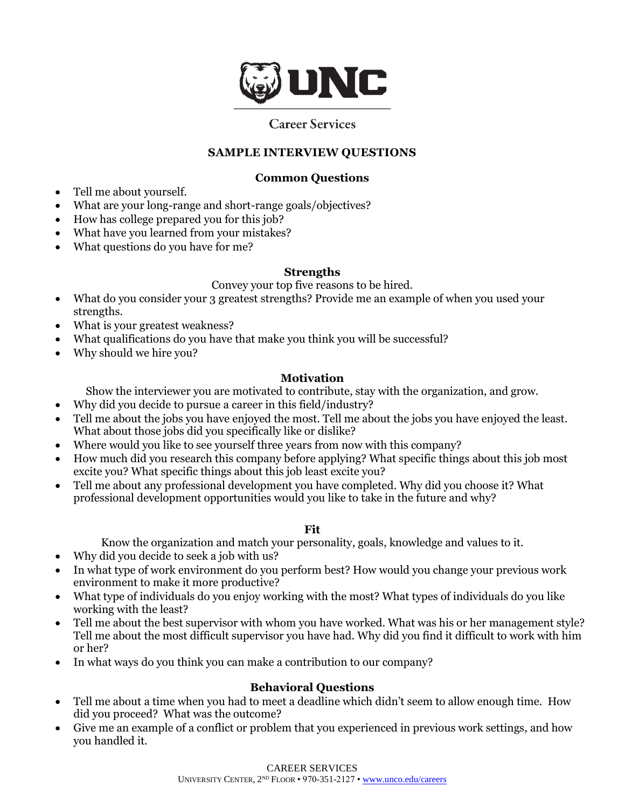

# **Career Services**

#### **SAMPLE INTERVIEW QUESTIONS**

#### **Common Questions**

- Tell me about yourself.
- What are your long-range and short-range goals/objectives?
- How has college prepared you for this job?
- What have you learned from your mistakes?
- What questions do you have for me?

#### **Strengths**

Convey your top five reasons to be hired.

- What do you consider your 3 greatest strengths? Provide me an example of when you used your strengths.
- What is your greatest weakness?
- What qualifications do you have that make you think you will be successful?
- Why should we hire you?

## **Motivation**

Show the interviewer you are motivated to contribute, stay with the organization, and grow.

- Why did you decide to pursue a career in this field/industry?
- Tell me about the jobs you have enjoyed the most. Tell me about the jobs you have enjoyed the least. What about those jobs did you specifically like or dislike?
- Where would you like to see yourself three years from now with this company?
- How much did you research this company before applying? What specific things about this job most excite you? What specific things about this job least excite you?
- Tell me about any professional development you have completed. Why did you choose it? What professional development opportunities would you like to take in the future and why?
	- **Fit**

Know the organization and match your personality, goals, knowledge and values to it.

- Why did you decide to seek a job with us?
- In what type of work environment do you perform best? How would you change your previous work environment to make it more productive?
- What type of individuals do you enjoy working with the most? What types of individuals do you like working with the least?
- Tell me about the best supervisor with whom you have worked. What was his or her management style? Tell me about the most difficult supervisor you have had. Why did you find it difficult to work with him or her?
- In what ways do you think you can make a contribution to our company?

## **Behavioral Questions**

- Tell me about a time when you had to meet a deadline which didn't seem to allow enough time. How did you proceed? What was the outcome?
- Give me an example of a conflict or problem that you experienced in previous work settings, and how you handled it.